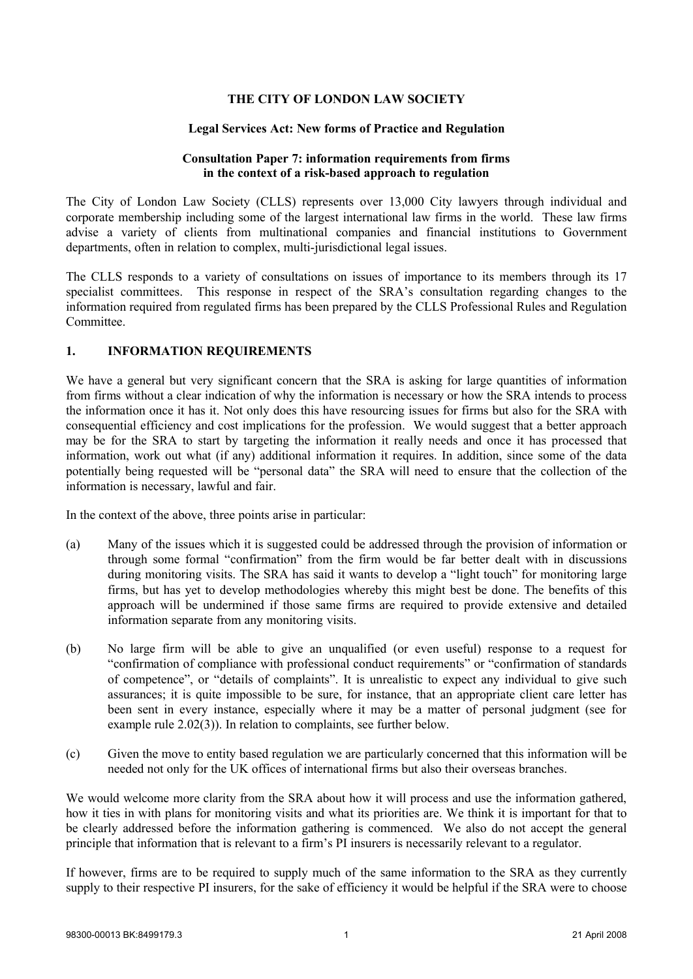## **THE CITY OF LONDON LAW SOCIETY**

### **Legal Services Act: New forms of Practice and Regulation**

## **Consultation Paper 7: information requirements from firms in the context of a risk-based approach to regulation**

The City of London Law Society (CLLS) represents over 13,000 City lawyers through individual and corporate membership including some of the largest international law firms in the world. These law firms advise a variety of clients from multinational companies and financial institutions to Government departments, often in relation to complex, multi-jurisdictional legal issues.

The CLLS responds to a variety of consultations on issues of importance to its members through its 17 specialist committees. This response in respect of the SRA's consultation regarding changes to the information required from regulated firms has been prepared by the CLLS Professional Rules and Regulation Committee.

## **1. INFORMATION REQUIREMENTS**

We have a general but very significant concern that the SRA is asking for large quantities of information from firms without a clear indication of why the information is necessary or how the SRA intends to process the information once it has it. Not only does this have resourcing issues for firms but also for the SRA with consequential efficiency and cost implications for the profession. We would suggest that a better approach may be for the SRA to start by targeting the information it really needs and once it has processed that information, work out what (if any) additional information it requires. In addition, since some of the data potentially being requested will be "personal data" the SRA will need to ensure that the collection of the information is necessary, lawful and fair.

In the context of the above, three points arise in particular:

- (a) Many of the issues which it is suggested could be addressed through the provision of information or through some formal "confirmation" from the firm would be far better dealt with in discussions during monitoring visits. The SRA has said it wants to develop a "light touch" for monitoring large firms, but has yet to develop methodologies whereby this might best be done. The benefits of this approach will be undermined if those same firms are required to provide extensive and detailed information separate from any monitoring visits.
- (b) No large firm will be able to give an unqualified (or even useful) response to a request for "confirmation of compliance with professional conduct requirements" or "confirmation of standards of competence", or "details of complaints". It is unrealistic to expect any individual to give such assurances; it is quite impossible to be sure, for instance, that an appropriate client care letter has been sent in every instance, especially where it may be a matter of personal judgment (see for example rule 2.02(3)). In relation to complaints, see further below.
- (c) Given the move to entity based regulation we are particularly concerned that this information will be needed not only for the UK offices of international firms but also their overseas branches.

We would welcome more clarity from the SRA about how it will process and use the information gathered, how it ties in with plans for monitoring visits and what its priorities are. We think it is important for that to be clearly addressed before the information gathering is commenced. We also do not accept the general principle that information that is relevant to a firm's PI insurers is necessarily relevant to a regulator.

If however, firms are to be required to supply much of the same information to the SRA as they currently supply to their respective PI insurers, for the sake of efficiency it would be helpful if the SRA were to choose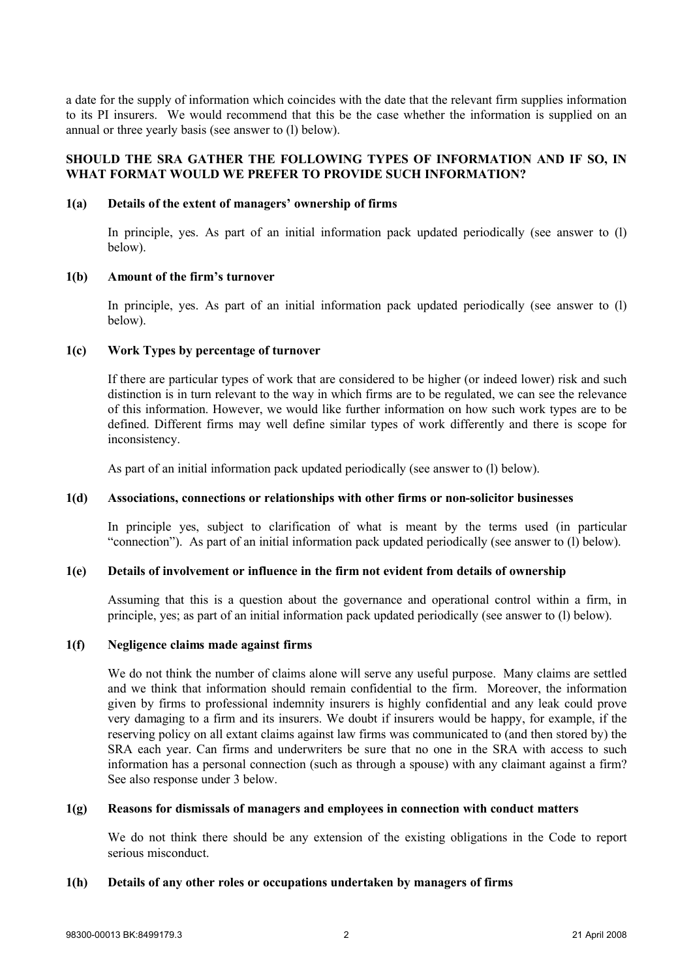a date for the supply of information which coincides with the date that the relevant firm supplies information to its PI insurers. We would recommend that this be the case whether the information is supplied on an annual or three yearly basis (see answer to (l) below).

## **SHOULD THE SRA GATHER THE FOLLOWING TYPES OF INFORMATION AND IF SO, IN WHAT FORMAT WOULD WE PREFER TO PROVIDE SUCH INFORMATION?**

### **1(a) Details of the extent of managers' ownership of firms**

In principle, yes. As part of an initial information pack updated periodically (see answer to (l) below).

### **1(b) Amount of the firm's turnover**

In principle, yes. As part of an initial information pack updated periodically (see answer to (l) below).

## **1(c) Work Types by percentage of turnover**

If there are particular types of work that are considered to be higher (or indeed lower) risk and such distinction is in turn relevant to the way in which firms are to be regulated, we can see the relevance of this information. However, we would like further information on how such work types are to be defined. Different firms may well define similar types of work differently and there is scope for inconsistency.

As part of an initial information pack updated periodically (see answer to (l) below).

## **1(d) Associations, connections or relationships with other firms or non-solicitor businesses**

In principle yes, subject to clarification of what is meant by the terms used (in particular "connection"). As part of an initial information pack updated periodically (see answer to (l) below).

## **1(e) Details of involvement or influence in the firm not evident from details of ownership**

Assuming that this is a question about the governance and operational control within a firm, in principle, yes; as part of an initial information pack updated periodically (see answer to (l) below).

#### **1(f) Negligence claims made against firms**

We do not think the number of claims alone will serve any useful purpose. Many claims are settled and we think that information should remain confidential to the firm. Moreover, the information given by firms to professional indemnity insurers is highly confidential and any leak could prove very damaging to a firm and its insurers. We doubt if insurers would be happy, for example, if the reserving policy on all extant claims against law firms was communicated to (and then stored by) the SRA each year. Can firms and underwriters be sure that no one in the SRA with access to such information has a personal connection (such as through a spouse) with any claimant against a firm? See also response under 3 below.

### **1(g) Reasons for dismissals of managers and employees in connection with conduct matters**

We do not think there should be any extension of the existing obligations in the Code to report serious misconduct.

#### **1(h) Details of any other roles or occupations undertaken by managers of firms**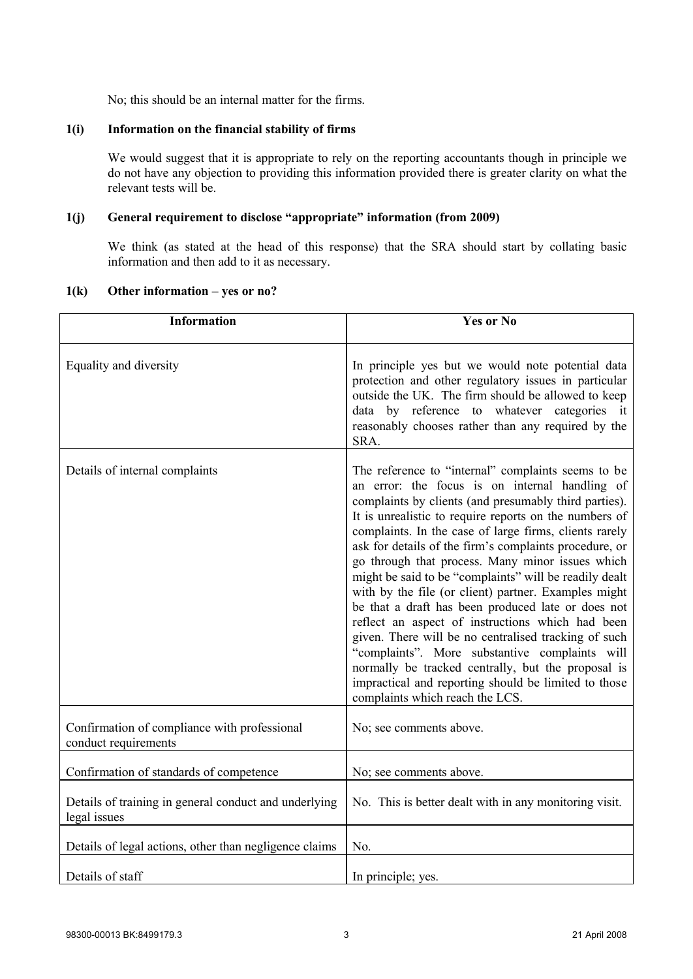No; this should be an internal matter for the firms.

## **1(i) Information on the financial stability of firms**

We would suggest that it is appropriate to rely on the reporting accountants though in principle we do not have any objection to providing this information provided there is greater clarity on what the relevant tests will be.

# **1(j) General requirement to disclose "appropriate" information (from 2009)**

We think (as stated at the head of this response) that the SRA should start by collating basic information and then add to it as necessary.

| <b>Information</b>                                                    | <b>Yes or No</b>                                                                                                                                                                                                                                                                                                                                                                                                                                                                                                                                                                                                                                                                                                                                                                                                                                                                       |
|-----------------------------------------------------------------------|----------------------------------------------------------------------------------------------------------------------------------------------------------------------------------------------------------------------------------------------------------------------------------------------------------------------------------------------------------------------------------------------------------------------------------------------------------------------------------------------------------------------------------------------------------------------------------------------------------------------------------------------------------------------------------------------------------------------------------------------------------------------------------------------------------------------------------------------------------------------------------------|
| Equality and diversity                                                | In principle yes but we would note potential data<br>protection and other regulatory issues in particular<br>outside the UK. The firm should be allowed to keep<br>data by reference to whatever categories it<br>reasonably chooses rather than any required by the<br>SRA.                                                                                                                                                                                                                                                                                                                                                                                                                                                                                                                                                                                                           |
| Details of internal complaints                                        | The reference to "internal" complaints seems to be<br>an error: the focus is on internal handling of<br>complaints by clients (and presumably third parties).<br>It is unrealistic to require reports on the numbers of<br>complaints. In the case of large firms, clients rarely<br>ask for details of the firm's complaints procedure, or<br>go through that process. Many minor issues which<br>might be said to be "complaints" will be readily dealt<br>with by the file (or client) partner. Examples might<br>be that a draft has been produced late or does not<br>reflect an aspect of instructions which had been<br>given. There will be no centralised tracking of such<br>"complaints". More substantive complaints will<br>normally be tracked centrally, but the proposal is<br>impractical and reporting should be limited to those<br>complaints which reach the LCS. |
| Confirmation of compliance with professional<br>conduct requirements  | No; see comments above.                                                                                                                                                                                                                                                                                                                                                                                                                                                                                                                                                                                                                                                                                                                                                                                                                                                                |
| Confirmation of standards of competence                               | No; see comments above.                                                                                                                                                                                                                                                                                                                                                                                                                                                                                                                                                                                                                                                                                                                                                                                                                                                                |
| Details of training in general conduct and underlying<br>legal issues | No. This is better dealt with in any monitoring visit.                                                                                                                                                                                                                                                                                                                                                                                                                                                                                                                                                                                                                                                                                                                                                                                                                                 |
| Details of legal actions, other than negligence claims                | No.                                                                                                                                                                                                                                                                                                                                                                                                                                                                                                                                                                                                                                                                                                                                                                                                                                                                                    |
| Details of staff                                                      | In principle; yes.                                                                                                                                                                                                                                                                                                                                                                                                                                                                                                                                                                                                                                                                                                                                                                                                                                                                     |

### **1(k) Other information – yes or no?**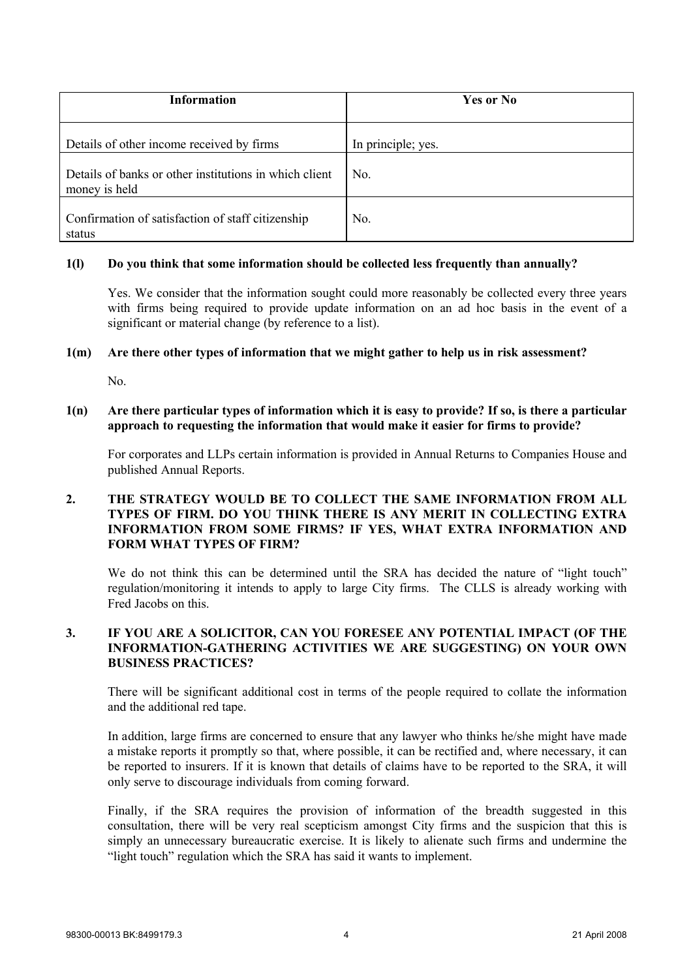| <b>Information</b>                                                      | Yes or No          |
|-------------------------------------------------------------------------|--------------------|
| Details of other income received by firms                               | In principle; yes. |
| Details of banks or other institutions in which client<br>money is held | No.                |
| Confirmation of satisfaction of staff citizenship<br>status             | No.                |

## **1(l) Do you think that some information should be collected less frequently than annually?**

Yes. We consider that the information sought could more reasonably be collected every three years with firms being required to provide update information on an ad hoc basis in the event of a significant or material change (by reference to a list).

### **1(m) Are there other types of information that we might gather to help us in risk assessment?**

No.

## **1(n) Are there particular types of information which it is easy to provide? If so, is there a particular approach to requesting the information that would make it easier for firms to provide?**

For corporates and LLPs certain information is provided in Annual Returns to Companies House and published Annual Reports.

## **2. THE STRATEGY WOULD BE TO COLLECT THE SAME INFORMATION FROM ALL TYPES OF FIRM. DO YOU THINK THERE IS ANY MERIT IN COLLECTING EXTRA INFORMATION FROM SOME FIRMS? IF YES, WHAT EXTRA INFORMATION AND FORM WHAT TYPES OF FIRM?**

We do not think this can be determined until the SRA has decided the nature of "light touch" regulation/monitoring it intends to apply to large City firms. The CLLS is already working with Fred Jacobs on this.

# **3. IF YOU ARE A SOLICITOR, CAN YOU FORESEE ANY POTENTIAL IMPACT (OF THE INFORMATION-GATHERING ACTIVITIES WE ARE SUGGESTING) ON YOUR OWN BUSINESS PRACTICES?**

There will be significant additional cost in terms of the people required to collate the information and the additional red tape.

In addition, large firms are concerned to ensure that any lawyer who thinks he/she might have made a mistake reports it promptly so that, where possible, it can be rectified and, where necessary, it can be reported to insurers. If it is known that details of claims have to be reported to the SRA, it will only serve to discourage individuals from coming forward.

Finally, if the SRA requires the provision of information of the breadth suggested in this consultation, there will be very real scepticism amongst City firms and the suspicion that this is simply an unnecessary bureaucratic exercise. It is likely to alienate such firms and undermine the "light touch" regulation which the SRA has said it wants to implement.